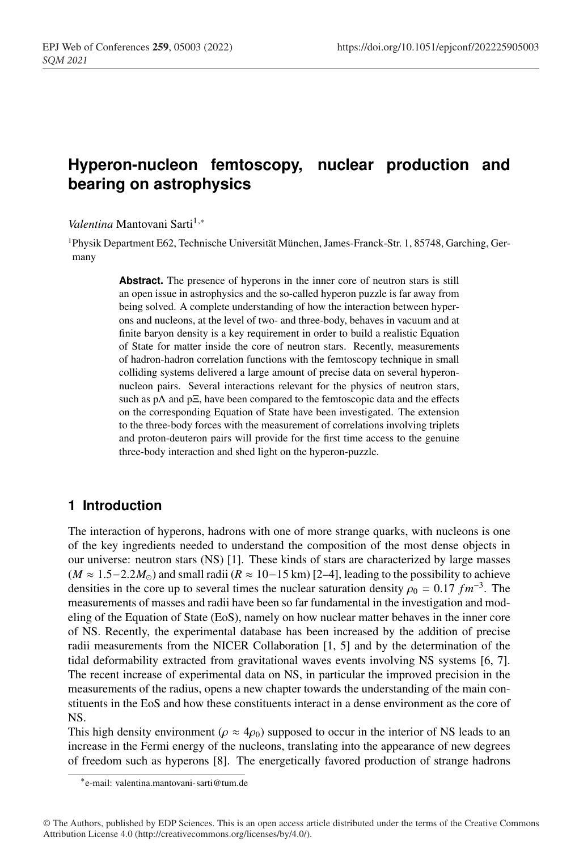# **Hyperon-nucleon femtoscopy, nuclear production and bearing on astrophysics**

*Valentina* Mantovani Sarti<sup>1,∗</sup>

1Physik Department E62, Technische Universität München, James-Franck-Str. 1, 85748, Garching, Germany

> **Abstract.** The presence of hyperons in the inner core of neutron stars is still an open issue in astrophysics and the so-called hyperon puzzle is far away from being solved. A complete understanding of how the interaction between hyperons and nucleons, at the level of two- and three-body, behaves in vacuum and at finite baryon density is a key requirement in order to build a realistic Equation of State for matter inside the core of neutron stars. Recently, measurements of hadron-hadron correlation functions with the femtoscopy technique in small colliding systems delivered a large amount of precise data on several hyperonnucleon pairs. Several interactions relevant for the physics of neutron stars, such as pΛ and pΞ, have been compared to the femtoscopic data and the effects on the corresponding Equation of State have been investigated. The extension to the three-body forces with the measurement of correlations involving triplets and proton-deuteron pairs will provide for the first time access to the genuine three-body interaction and shed light on the hyperon-puzzle.

### **1 Introduction**

The interaction of hyperons, hadrons with one of more strange quarks, with nucleons is one of the key ingredients needed to understand the composition of the most dense objects in our universe: neutron stars (NS) [1]. These kinds of stars are characterized by large masses  $(M \approx 1.5-2.2M_{\odot})$  and small radii  $(R \approx 10-15 \text{ km})$  [2–4], leading to the possibility to achieve densities in the core up to several times the nuclear saturation density  $\rho_0 = 0.17$  *fm*<sup>-3</sup>. The measurements of masses and radii have been so far fundamental in the investigation and modeling of the Equation of State (EoS), namely on how nuclear matter behaves in the inner core of NS. Recently, the experimental database has been increased by the addition of precise radii measurements from the NICER Collaboration [1, 5] and by the determination of the tidal deformability extracted from gravitational waves events involving NS systems [6, 7]. The recent increase of experimental data on NS, in particular the improved precision in the measurements of the radius, opens a new chapter towards the understanding of the main constituents in the EoS and how these constituents interact in a dense environment as the core of NS.

This high density environment ( $\rho \approx 4\rho_0$ ) supposed to occur in the interior of NS leads to an increase in the Fermi energy of the nucleons, translating into the appearance of new degrees of freedom such as hyperons [8]. The energetically favored production of strange hadrons

<sup>∗</sup>e-mail: valentina.mantovani-sarti@tum.de

<sup>©</sup> The Authors, published by EDP Sciences. This is an open access article distributed under the terms of the Creative Commons Attribution License 4.0 (http://creativecommons.org/licenses/by/4.0/).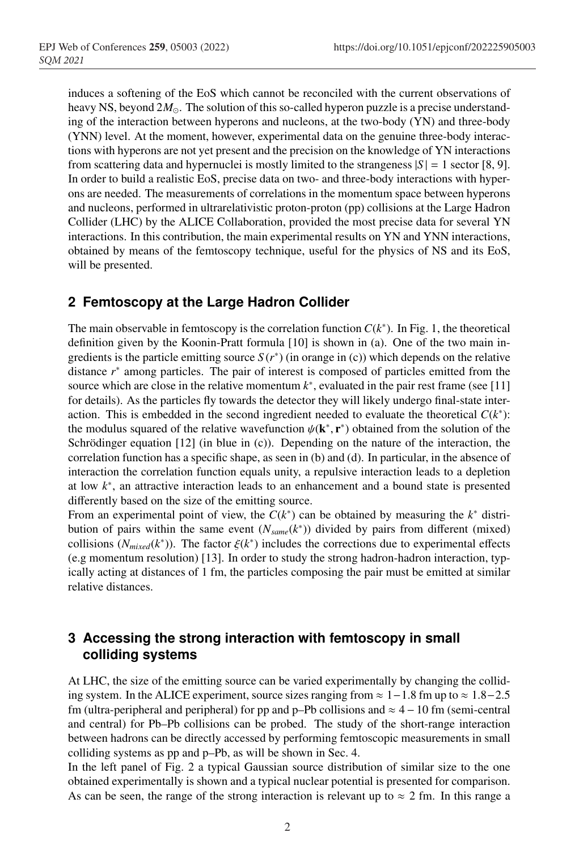induces a softening of the EoS which cannot be reconciled with the current observations of heavy NS, beyond  $2M_{\odot}$ . The solution of this so-called hyperon puzzle is a precise understanding of the interaction between hyperons and nucleons, at the two-body (YN) and three-body (YNN) level. At the moment, however, experimental data on the genuine three-body interactions with hyperons are not yet present and the precision on the knowledge of YN interactions from scattering data and hypernuclei is mostly limited to the strangeness  $|S| = 1$  sector [8, 9]. In order to build a realistic EoS, precise data on two- and three-body interactions with hyperons are needed. The measurements of correlations in the momentum space between hyperons and nucleons, performed in ultrarelativistic proton-proton (pp) collisions at the Large Hadron Collider (LHC) by the ALICE Collaboration, provided the most precise data for several YN interactions. In this contribution, the main experimental results on YN and YNN interactions, obtained by means of the femtoscopy technique, useful for the physics of NS and its EoS, will be presented.

### **2 Femtoscopy at the Large Hadron Collider**

The main observable in femtoscopy is the correlation function  $C(k^*)$ . In Fig. 1, the theoretical definition given by the Koonin-Pratt formula [10] is shown in (a). One of the two main ingredients is the particle emitting source  $S(r^*)$  (in orange in (c)) which depends on the relative distance *r*<sup>∗</sup> among particles. The pair of interest is composed of particles emitted from the source which are close in the relative momentum  $k^*$ , evaluated in the pair rest frame (see [11] for details). As the particles fly towards the detector they will likely undergo final-state interaction. This is embedded in the second ingredient needed to evaluate the theoretical  $C(k^*)$ : the modulus squared of the relative wavefunction  $\psi(\mathbf{k}^*, \mathbf{r}^*)$  obtained from the solution of the Schrödinger equation [12] (in blue in (c)). Depending on the nature of the interaction, the correlation function has a specific shape, as seen in (b) and (d). In particular, in the absence of interaction the correlation function equals unity, a repulsive interaction leads to a depletion at low *k*∗, an attractive interaction leads to an enhancement and a bound state is presented differently based on the size of the emitting source.

From an experimental point of view, the *C*(*k*∗) can be obtained by measuring the *k*<sup>∗</sup> distribution of pairs within the same event (*Nsame*(*k*∗)) divided by pairs from different (mixed) collisions ( $N_{mixed}(k^*)$ ). The factor  $\xi(k^*)$  includes the corrections due to experimental effects (e.g momentum resolution) [13]. In order to study the strong hadron-hadron interaction, typically acting at distances of 1 fm, the particles composing the pair must be emitted at similar relative distances.

## **3 Accessing the strong interaction with femtoscopy in small colliding systems**

At LHC, the size of the emitting source can be varied experimentally by changing the colliding system. In the ALICE experiment, source sizes ranging from  $\approx 1-1.8$  fm up to  $\approx 1.8-2.5$ fm (ultra-peripheral and peripheral) for pp and p–Pb collisions and  $\approx$  4 – 10 fm (semi-central and central) for Pb–Pb collisions can be probed. The study of the short-range interaction between hadrons can be directly accessed by performing femtoscopic measurements in small colliding systems as pp and p–Pb, as will be shown in Sec. 4.

In the left panel of Fig. 2 a typical Gaussian source distribution of similar size to the one obtained experimentally is shown and a typical nuclear potential is presented for comparison. As can be seen, the range of the strong interaction is relevant up to  $\approx 2$  fm. In this range a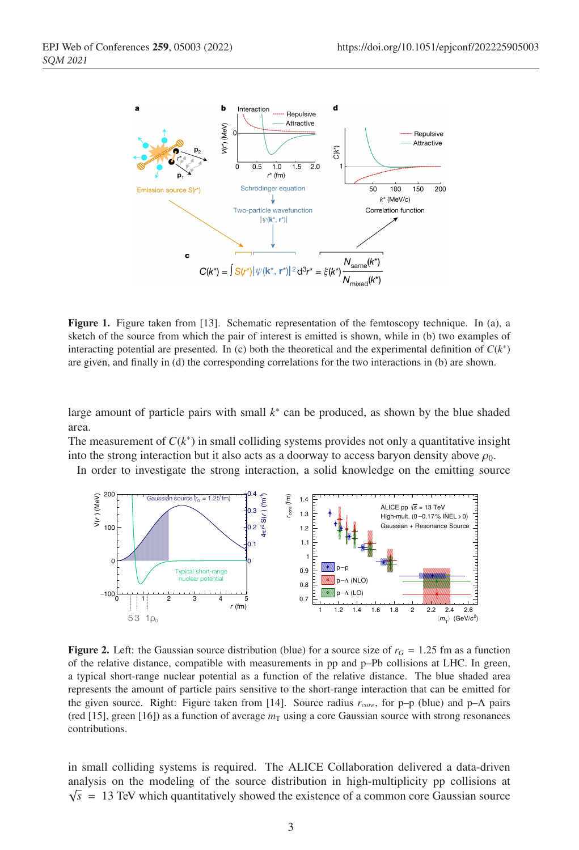

Figure 1. Figure taken from [13]. Schematic representation of the femtoscopy technique. In (a), a sketch of the source from which the pair of interest is emitted is shown, while in (b) two examples of interacting potential are presented. In (c) both the theoretical and the experimental definition of  $C(k^*)$ are given, and finally in (d) the corresponding correlations for the two interactions in (b) are shown.

large amount of particle pairs with small *k*<sup>∗</sup> can be produced, as shown by the blue shaded area.

The measurement of  $C(k^*)$  in small colliding systems provides not only a quantitative insight into the strong interaction but it also acts as a doorway to access baryon density above  $\rho_0$ .

In order to investigate the strong interaction, a solid knowledge on the emitting source



**Figure 2.** Left: the Gaussian source distribution (blue) for a source size of  $r<sub>G</sub> = 1.25$  fm as a function of the relative distance, compatible with measurements in pp and p–Pb collisions at LHC. In green, a typical short-range nuclear potential as a function of the relative distance. The blue shaded area represents the amount of particle pairs sensitive to the short-range interaction that can be emitted for the given source. Right: Figure taken from [14]. Source radius *rcore*, for p–p (blue) and p–Λ pairs (red [15], green [16]) as a function of average  $m<sub>T</sub>$  using a core Gaussian source with strong resonances contributions.

in small colliding systems is required. The ALICE Collaboration delivered a data-driven analysis on the modeling of the source distribution in high-multiplicity pp collisions at  $\sqrt{s}$  = 13 TeV which quantitatively showed the existence of a common core Gaussian source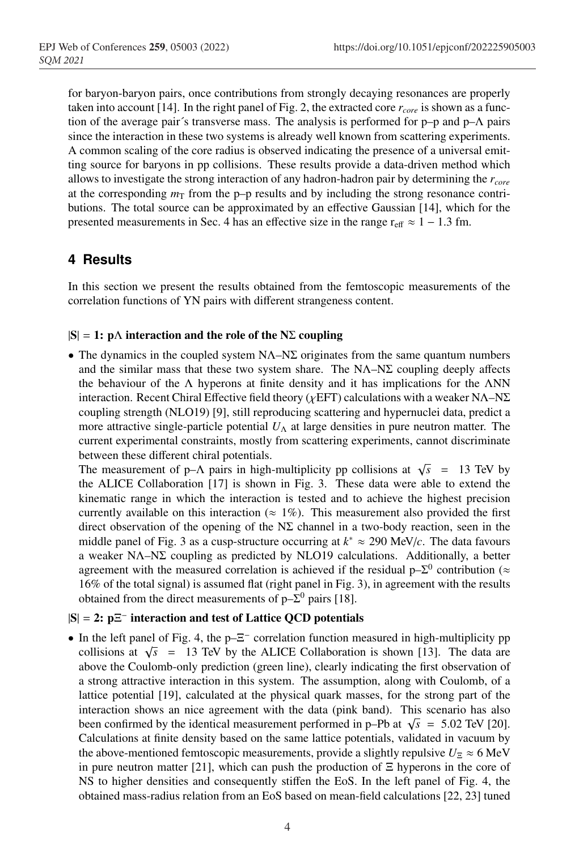for baryon-baryon pairs, once contributions from strongly decaying resonances are properly taken into account [14]. In the right panel of Fig. 2, the extracted core  $r_{core}$  is shown as a function of the average pair´s transverse mass. The analysis is performed for  $p-p$  and  $p-\Lambda$  pairs since the interaction in these two systems is already well known from scattering experiments. A common scaling of the core radius is observed indicating the presence of a universal emitting source for baryons in pp collisions. These results provide a data-driven method which allows to investigate the strong interaction of any hadron-hadron pair by determining the *rcore* at the corresponding  $m<sub>T</sub>$  from the p–p results and by including the strong resonance contributions. The total source can be approximated by an effective Gaussian [14], which for the presented measurements in Sec. 4 has an effective size in the range  $r_{\text{eff}} \approx 1 - 1.3$  fm.

## **4 Results**

In this section we present the results obtained from the femtoscopic measurements of the correlation functions of YN pairs with different strangeness content.

#### $|S| = 1$ : p $\Lambda$  interaction and the role of the N $\Sigma$  coupling

• The dynamics in the coupled system  $NA-N\Sigma$  originates from the same quantum numbers and the similar mass that these two system share. The  $NA-NZ$  coupling deeply affects the behaviour of the  $\Lambda$  hyperons at finite density and it has implications for the  $\Lambda NN$ interaction. Recent Chiral Effective field theory ( $\chi$ EFT) calculations with a weaker N $\Lambda$ –N $\Sigma$ coupling strength (NLO19) [9], still reproducing scattering and hypernuclei data, predict a more attractive single-particle potential  $U<sub>\Lambda</sub>$  at large densities in pure neutron matter. The current experimental constraints, mostly from scattering experiments, cannot discriminate between these different chiral potentials.

The measurement of p– $\Lambda$  pairs in high-multiplicity pp collisions at  $\sqrt{s}$  = 13 TeV by the ALICE Collaboration [17] is shown in Fig. 3. These data were able to extend the kinematic range in which the interaction is tested and to achieve the highest precision currently available on this interaction ( $\approx 1\%$ ). This measurement also provided the first direct observation of the opening of the  $N\Sigma$  channel in a two-body reaction, seen in the middle panel of Fig. 3 as a cusp-structure occurring at *k*<sup>∗</sup> ≈ 290 MeV/*c*. The data favours a weaker NΛ–NΣ coupling as predicted by NLO19 calculations. Additionally, a better agreement with the measured correlation is achieved if the residual  $p-\Sigma^0$  contribution ( $\approx$ 16% of the total signal) is assumed flat (right panel in Fig. 3), in agreement with the results obtained from the direct measurements of  $p-\Sigma^0$  pairs [18].

#### |S| = 2: pΞ<sup>−</sup> interaction and test of Lattice QCD potentials

• In the left panel of Fig. 4, the p–Ξ<sup>−</sup> correlation function measured in high-multiplicity pp collisions at  $\sqrt{s}$  = 13 TeV by the ALICE Collaboration is shown [13]. The data are above the Coulomb-only prediction (green line), clearly indicating the first observation of a strong attractive interaction in this system. The assumption, along with Coulomb, of a lattice potential [19], calculated at the physical quark masses, for the strong part of the interaction shows an nice agreement with the data (pink band). This scenario has also been confirmed by the identical measurement performed in p–Pb at  $\sqrt{s}$  = 5.02 TeV [20]. Calculations at finite density based on the same lattice potentials, validated in vacuum by the above-mentioned femtoscopic measurements, provide a slightly repulsive  $U_\Sigma \approx 6 \text{ MeV}$ in pure neutron matter [21], which can push the production of  $\Xi$  hyperons in the core of NS to higher densities and consequently stiffen the EoS. In the left panel of Fig. 4, the obtained mass-radius relation from an EoS based on mean-field calculations [22, 23] tuned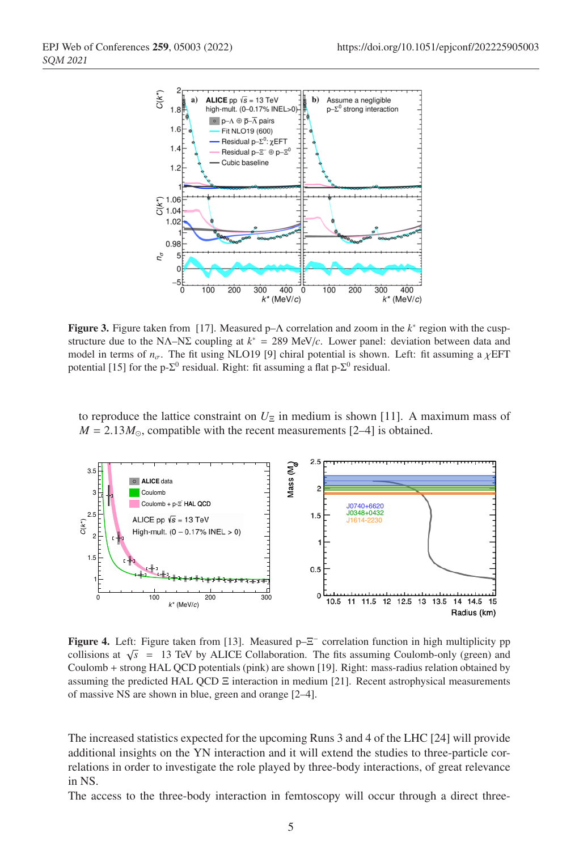

Figure 3. Figure taken from [17]. Measured p–Λ correlation and zoom in the *k*<sup>∗</sup> region with the cuspstructure due to the NΛ–NΣ coupling at *k*<sup>∗</sup> = 289 MeV/*c*. Lower panel: deviation between data and model in terms of  $n_{\sigma}$ . The fit using NLO19 [9] chiral potential is shown. Left: fit assuming a  $\chi$ EFT potential [15] for the p- $\Sigma^0$  residual. Right: fit assuming a flat p- $\Sigma^0$  residual.

to reproduce the lattice constraint on  $U_{\Xi}$  in medium is shown [11]. A maximum mass of  $M = 2.13 M_{\odot}$ , compatible with the recent measurements [2–4] is obtained.



Figure 4. Left: Figure taken from [13]. Measured  $p-\Xi^-$  correlation function in high multiplicity pp collisions at  $\sqrt{s}$  = 13 TeV by ALICE Collaboration. The fits assuming Coulomb-only (green) and Coulomb + strong HAL QCD potentials (pink) are shown [19]. Right: mass-radius relation obtained by assuming the predicted HAL QCD Ξ interaction in medium [21]. Recent astrophysical measurements of massive NS are shown in blue, green and orange [2–4].

The increased statistics expected for the upcoming Runs 3 and 4 of the LHC [24] will provide additional insights on the YN interaction and it will extend the studies to three-particle correlations in order to investigate the role played by three-body interactions, of great relevance in NS.

The access to the three-body interaction in femtoscopy will occur through a direct three-